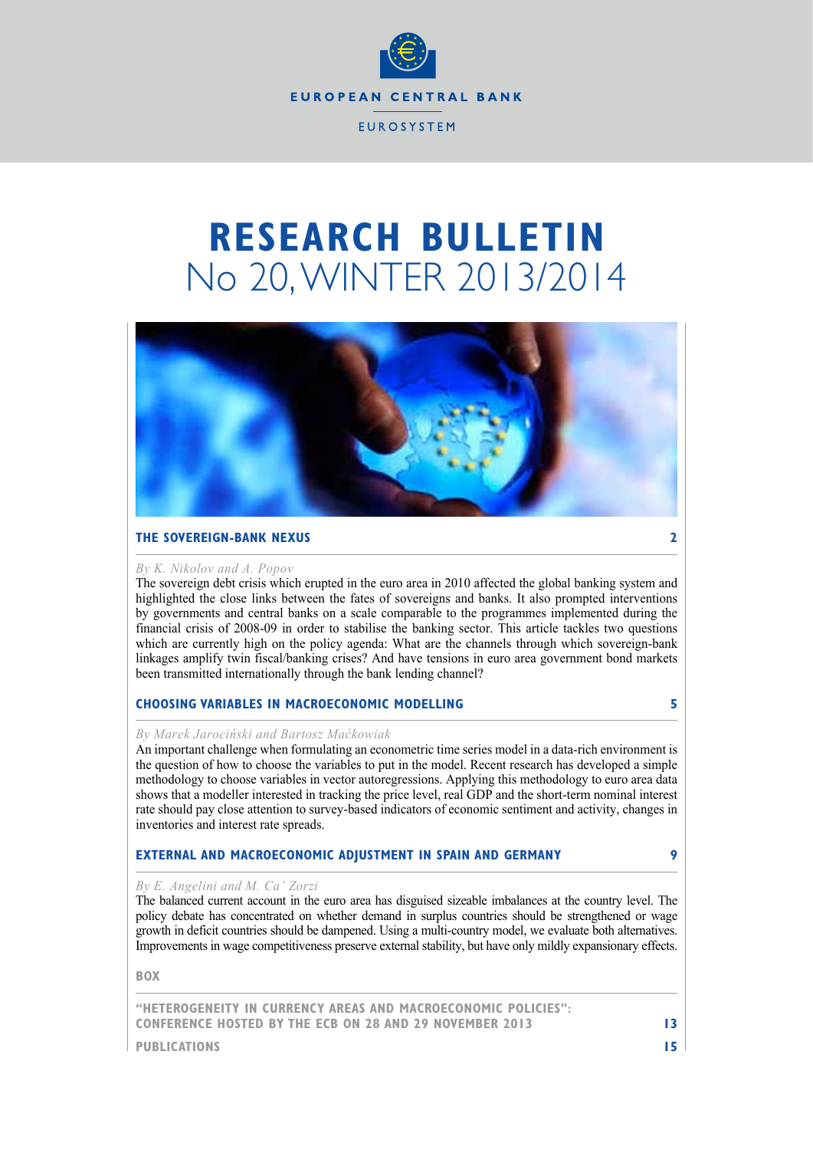

# **RESEARCH BULLETIN** No 20, Winter 2013/2014



# **THE SOVEREIGN-BANK NEXUS 2**

#### *By K. Nikolov and A. Popov*

The sovereign debt crisis which erupted in the euro area in 2010 affected the global banking system and highlighted the close links between the fates of sovereigns and banks. It also prompted interventions by governments and central banks on a scale comparable to the programmes implemented during the financial crisis of 2008-09 in order to stabilise the banking sector. This article tackles two questions which are currently high on the policy agenda: What are the channels through which sovereign-bank linkages amplify twin fiscal/banking crises? And have tensions in euro area government bond markets been transmitted internationally through the bank lending channel?

# **ChoOSING variables in macroeconomic Modelling 5**

#### *By Marek Jarociński and Bartosz Maćkowiak*

An important challenge when formulating an econometric time series model in a data-rich environment is the question of how to choose the variables to put in the model. Recent research has developed a simple methodology to choose variables in vector autoregressions. Applying this methodology to euro area data shows that a modeller interested in tracking the price level, real GDP and the short-term nominal interest rate should pay close attention to survey-based indicators of economic sentiment and activity, changes in inventories and interest rate spreads.

# **External and MAcroeconomic Adjustment in SpaIn and GErmany 9**

## *By E. Angelini and M. Ca' Zorzi*

The balanced current account in the euro area has disguised sizeable imbalances at the country level. The policy debate has concentrated on whether demand in surplus countries should be strengthened or wage growth in deficit countries should be dampened. Using a multi-country model, we evaluate both alternatives. Improvements in wage competitiveness preserve external stability, but have only mildly expansionary effects.

**Box**

**"Heterogeneity in currency areas and macroeconomic policies": Conference hosted by the ECB on 28 and 29 November 2013 13**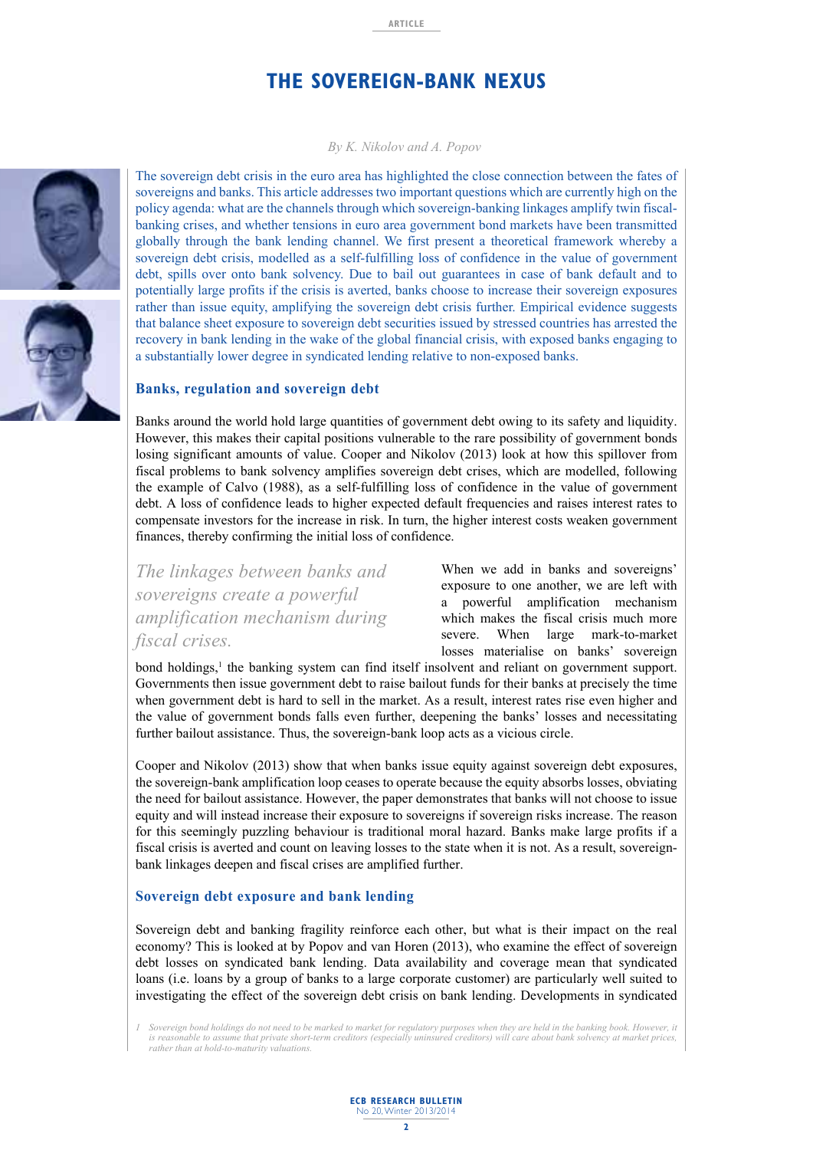**article**

# **THE SOVEREIGN-BANK NEXUS**



The sovereign debt crisis in the euro area has highlighted the close connection between the fates of sovereigns and banks. This article addresses two important questions which are currently high on the policy agenda: what are the channels through which sovereign-banking linkages amplify twin fiscalbanking crises, and whether tensions in euro area government bond markets have been transmitted globally through the bank lending channel. We first present a theoretical framework whereby a sovereign debt crisis, modelled as a self-fulfilling loss of confidence in the value of government debt, spills over onto bank solvency. Due to bail out guarantees in case of bank default and to potentially large profits if the crisis is averted, banks choose to increase their sovereign exposures rather than issue equity, amplifying the sovereign debt crisis further. Empirical evidence suggests that balance sheet exposure to sovereign debt securities issued by stressed countries has arrested the recovery in bank lending in the wake of the global financial crisis, with exposed banks engaging to a substantially lower degree in syndicated lending relative to non-exposed banks.

# **Banks, regulation and sovereign debt**

Banks around the world hold large quantities of government debt owing to its safety and liquidity. However, this makes their capital positions vulnerable to the rare possibility of government bonds losing significant amounts of value. Cooper and Nikolov (2013) look at how this spillover from fiscal problems to bank solvency amplifies sovereign debt crises, which are modelled, following the example of Calvo (1988), as a self-fulfilling loss of confidence in the value of government debt. A loss of confidence leads to higher expected default frequencies and raises interest rates to compensate investors for the increase in risk. In turn, the higher interest costs weaken government finances, thereby confirming the initial loss of confidence.

*The linkages between banks and sovereigns create a powerful amplification mechanism during fiscal crises.*

When we add in banks and sovereigns' exposure to one another, we are left with a powerful amplification mechanism which makes the fiscal crisis much more severe. When large mark-to-market losses materialise on banks' sovereign

bond holdings,<sup>1</sup> the banking system can find itself insolvent and reliant on government support. Governments then issue government debt to raise bailout funds for their banks at precisely the time when government debt is hard to sell in the market. As a result, interest rates rise even higher and the value of government bonds falls even further, deepening the banks' losses and necessitating further bailout assistance. Thus, the sovereign-bank loop acts as a vicious circle.

Cooper and Nikolov (2013) show that when banks issue equity against sovereign debt exposures, the sovereign-bank amplification loop ceases to operate because the equity absorbs losses, obviating the need for bailout assistance. However, the paper demonstrates that banks will not choose to issue equity and will instead increase their exposure to sovereigns if sovereign risks increase. The reason for this seemingly puzzling behaviour is traditional moral hazard. Banks make large profits if a fiscal crisis is averted and count on leaving losses to the state when it is not. As a result, sovereignbank linkages deepen and fiscal crises are amplified further.

# **Sovereign debt exposure and bank lending**

Sovereign debt and banking fragility reinforce each other, but what is their impact on the real economy? This is looked at by Popov and van Horen (2013), who examine the effect of sovereign debt losses on syndicated bank lending. Data availability and coverage mean that syndicated loans (i.e. loans by a group of banks to a large corporate customer) are particularly well suited to investigating the effect of the sovereign debt crisis on bank lending. Developments in syndicated







*<sup>1</sup> Sovereign bond holdings do not need to be marked to market for regulatory purposes when they are held in the banking book. However, it is reasonable to assume that private short-term creditors (especially uninsured creditors) will care about bank solvency at market prices, rather than at hold-to-maturity valuations.*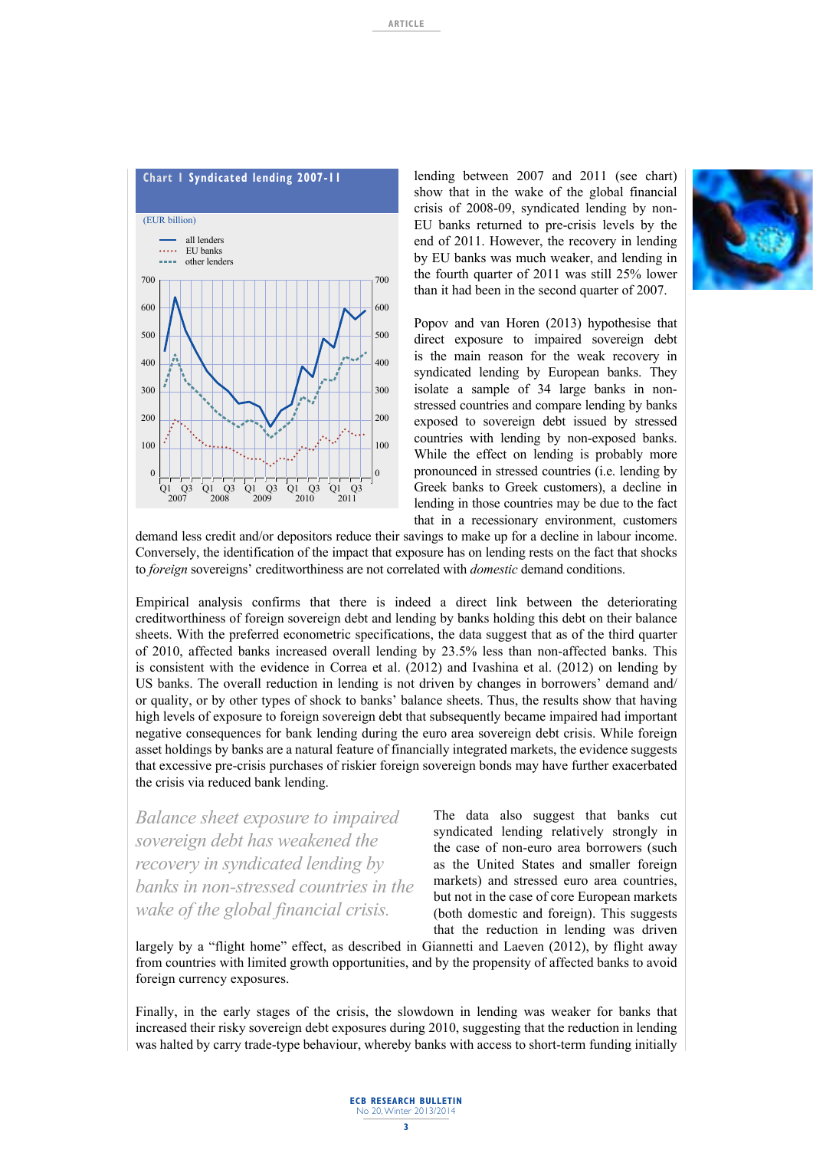

lending between 2007 and 2011 (see chart) show that in the wake of the global financial crisis of 2008-09, syndicated lending by non-EU banks returned to pre-crisis levels by the end of 2011. However, the recovery in lending by EU banks was much weaker, and lending in the fourth quarter of 2011 was still 25% lower than it had been in the second quarter of 2007.

Popov and van Horen (2013) hypothesise that direct exposure to impaired sovereign debt is the main reason for the weak recovery in syndicated lending by European banks. They isolate a sample of 34 large banks in nonstressed countries and compare lending by banks exposed to sovereign debt issued by stressed countries with lending by non-exposed banks. While the effect on lending is probably more pronounced in stressed countries (i.e. lending by Greek banks to Greek customers), a decline in lending in those countries may be due to the fact that in a recessionary environment, customers

demand less credit and/or depositors reduce their savings to make up for a decline in labour income. Conversely, the identification of the impact that exposure has on lending rests on the fact that shocks to *foreign* sovereigns' creditworthiness are not correlated with *domestic* demand conditions.

Empirical analysis confirms that there is indeed a direct link between the deteriorating creditworthiness of foreign sovereign debt and lending by banks holding this debt on their balance sheets. With the preferred econometric specifications, the data suggest that as of the third quarter of 2010, affected banks increased overall lending by 23.5% less than non-affected banks. This is consistent with the evidence in Correa et al. (2012) and Ivashina et al. (2012) on lending by US banks. The overall reduction in lending is not driven by changes in borrowers' demand and/ or quality, or by other types of shock to banks' balance sheets. Thus, the results show that having high levels of exposure to foreign sovereign debt that subsequently became impaired had important negative consequences for bank lending during the euro area sovereign debt crisis. While foreign asset holdings by banks are a natural feature of financially integrated markets, the evidence suggests that excessive pre-crisis purchases of riskier foreign sovereign bonds may have further exacerbated the crisis via reduced bank lending.

*Balance sheet exposure to impaired sovereign debt has weakened the recovery in syndicated lending by banks in non-stressed countries in the wake of the global financial crisis.*

The data also suggest that banks cut syndicated lending relatively strongly in the case of non-euro area borrowers (such as the United States and smaller foreign markets) and stressed euro area countries, but not in the case of core European markets (both domestic and foreign). This suggests that the reduction in lending was driven

largely by a "flight home" effect, as described in Giannetti and Laeven (2012), by flight away from countries with limited growth opportunities, and by the propensity of affected banks to avoid foreign currency exposures.

Finally, in the early stages of the crisis, the slowdown in lending was weaker for banks that increased their risky sovereign debt exposures during 2010, suggesting that the reduction in lending was halted by carry trade-type behaviour, whereby banks with access to short-term funding initially

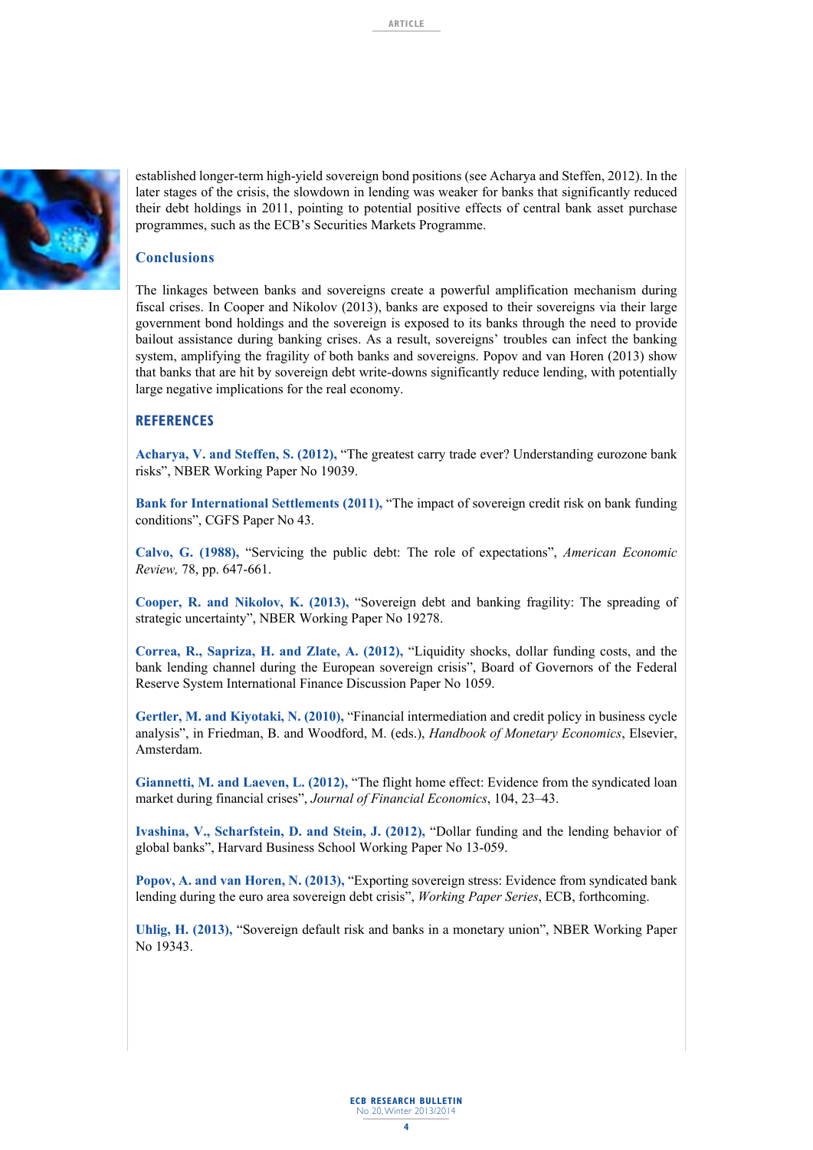

established longer-term high-yield sovereign bond positions (see Acharya and Steffen, 2012). In the later stages of the crisis, the slowdown in lending was weaker for banks that significantly reduced their debt holdings in 2011, pointing to potential positive effects of central bank asset purchase programmes, such as the ECB's Securities Markets Programme.

# **Conclusions**

The linkages between banks and sovereigns create a powerful amplification mechanism during fiscal crises. In Cooper and Nikolov (2013), banks are exposed to their sovereigns via their large government bond holdings and the sovereign is exposed to its banks through the need to provide bailout assistance during banking crises. As a result, sovereigns' troubles can infect the banking system, amplifying the fragility of both banks and sovereigns. Popov and van Horen (2013) show that banks that are hit by sovereign debt write-downs significantly reduce lending, with potentially large negative implications for the real economy.

## **References**

**Acharya, V. and Steffen, S. (2012),** "The greatest carry trade ever? Understanding eurozone bank risks", NBER Working Paper No 19039.

**Bank for International Settlements (2011),** "The impact of sovereign credit risk on bank funding conditions", CGFS Paper No 43.

**Calvo, G. (1988),** "Servicing the public debt: The role of expectations", *American Economic Review,* 78, pp. 647-661.

**Cooper, R. and Nikolov, K. (2013),** "Sovereign debt and banking fragility: The spreading of strategic uncertainty", NBER Working Paper No 19278.

**Correa, R., Sapriza, H. and Zlate, A. (2012),** "Liquidity shocks, dollar funding costs, and the bank lending channel during the European sovereign crisis", Board of Governors of the Federal Reserve System International Finance Discussion Paper No 1059.

**Gertler, M. and Kiyotaki, N. (2010),** "Financial intermediation and credit policy in business cycle analysis", in Friedman, B. and Woodford, M. (eds.), *Handbook of Monetary Economics*, Elsevier, Amsterdam.

**Giannetti, M. and Laeven, L. (2012),** "The flight home effect: Evidence from the syndicated loan market during financial crises", *Journal of Financial Economics*, 104, 23–43.

**Ivashina, V., Scharfstein, D. and Stein, J. (2012),** "Dollar funding and the lending behavior of global banks", Harvard Business School Working Paper No 13-059.

**Popov, A. and van Horen, N. (2013),** "Exporting sovereign stress: Evidence from syndicated bank lending during the euro area sovereign debt crisis", *Working Paper Series*, ECB, forthcoming.

**Uhlig, H. (2013),** "Sovereign default risk and banks in a monetary union", NBER Working Paper No 19343.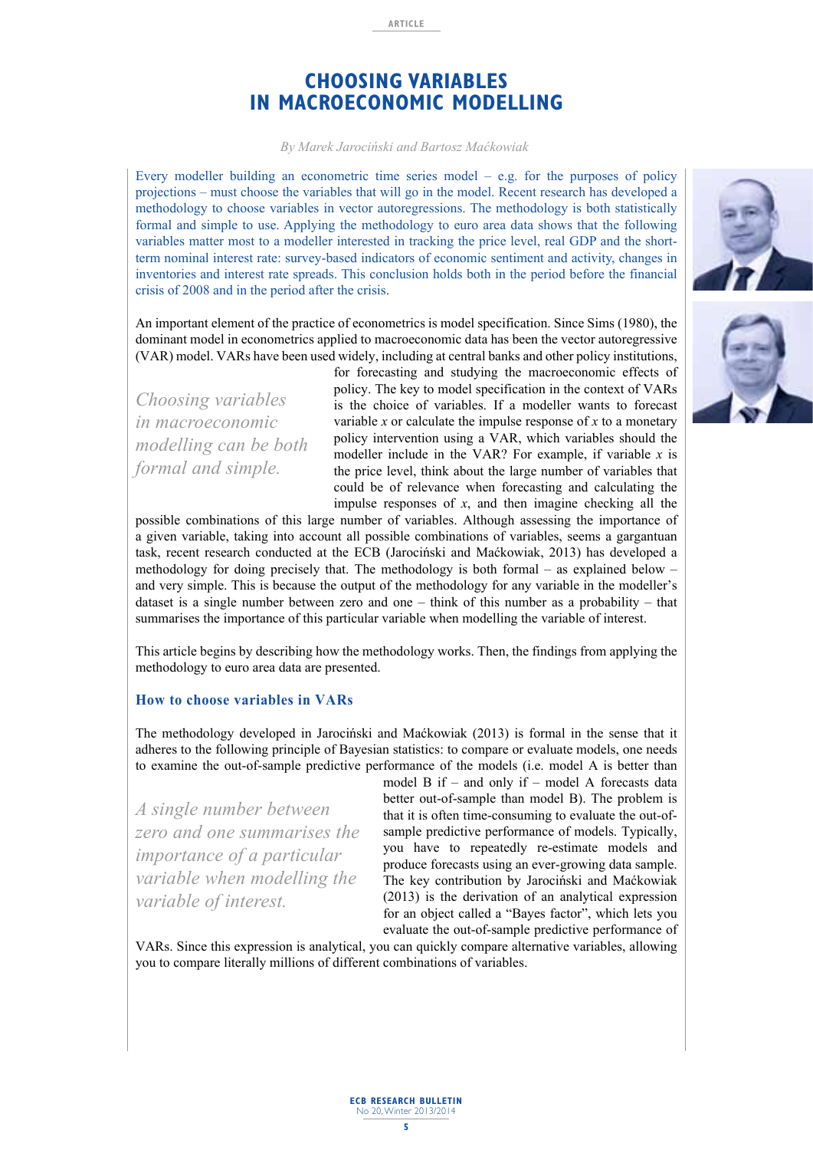# **ChoOSING variables in macroeconomic Modelling**

# *By Marek Jarociński and Bartosz Maćkowiak*

Every modeller building an econometric time series model  $-$  e.g. for the purposes of policy projections – must choose the variables that will go in the model. Recent research has developed a methodology to choose variables in vector autoregressions. The methodology is both statistically formal and simple to use. Applying the methodology to euro area data shows that the following variables matter most to a modeller interested in tracking the price level, real GDP and the shortterm nominal interest rate: survey-based indicators of economic sentiment and activity, changes in inventories and interest rate spreads. This conclusion holds both in the period before the financial crisis of 2008 and in the period after the crisis.

An important element of the practice of econometrics is model specification. Since Sims (1980), the dominant model in econometrics applied to macroeconomic data has been the vector autoregressive (VAR) model. VARs have been used widely, including at central banks and other policy institutions,

*Choosing variables in macroeconomic modelling can be both formal and simple.*

for forecasting and studying the macroeconomic effects of policy. The key to model specification in the context of VARs is the choice of variables. If a modeller wants to forecast variable *x* or calculate the impulse response of *x* to a monetary policy intervention using a VAR, which variables should the modeller include in the VAR? For example, if variable *x* is the price level, think about the large number of variables that could be of relevance when forecasting and calculating the impulse responses of *x*, and then imagine checking all the

possible combinations of this large number of variables. Although assessing the importance of a given variable, taking into account all possible combinations of variables, seems a gargantuan task, recent research conducted at the ECB (Jarociński and Maćkowiak, 2013) has developed a methodology for doing precisely that. The methodology is both formal – as explained below – and very simple. This is because the output of the methodology for any variable in the modeller's dataset is a single number between zero and one – think of this number as a probability – that summarises the importance of this particular variable when modelling the variable of interest.

This article begins by describing how the methodology works. Then, the findings from applying the methodology to euro area data are presented.

# **How to choose variables in VARs**

The methodology developed in Jarociński and Maćkowiak (2013) is formal in the sense that it adheres to the following principle of Bayesian statistics: to compare or evaluate models, one needs to examine the out-of-sample predictive performance of the models (i.e. model A is better than

*A single number between zero and one summarises the importance of a particular variable when modelling the variable of interest.*

model B if – and only if – model A forecasts data better out-of-sample than model B). The problem is that it is often time-consuming to evaluate the out-ofsample predictive performance of models. Typically, you have to repeatedly re-estimate models and produce forecasts using an ever-growing data sample. The key contribution by Jarociński and Maćkowiak (2013) is the derivation of an analytical expression for an object called a "Bayes factor", which lets you evaluate the out-of-sample predictive performance of

VARs. Since this expression is analytical, you can quickly compare alternative variables, allowing you to compare literally millions of different combinations of variables.



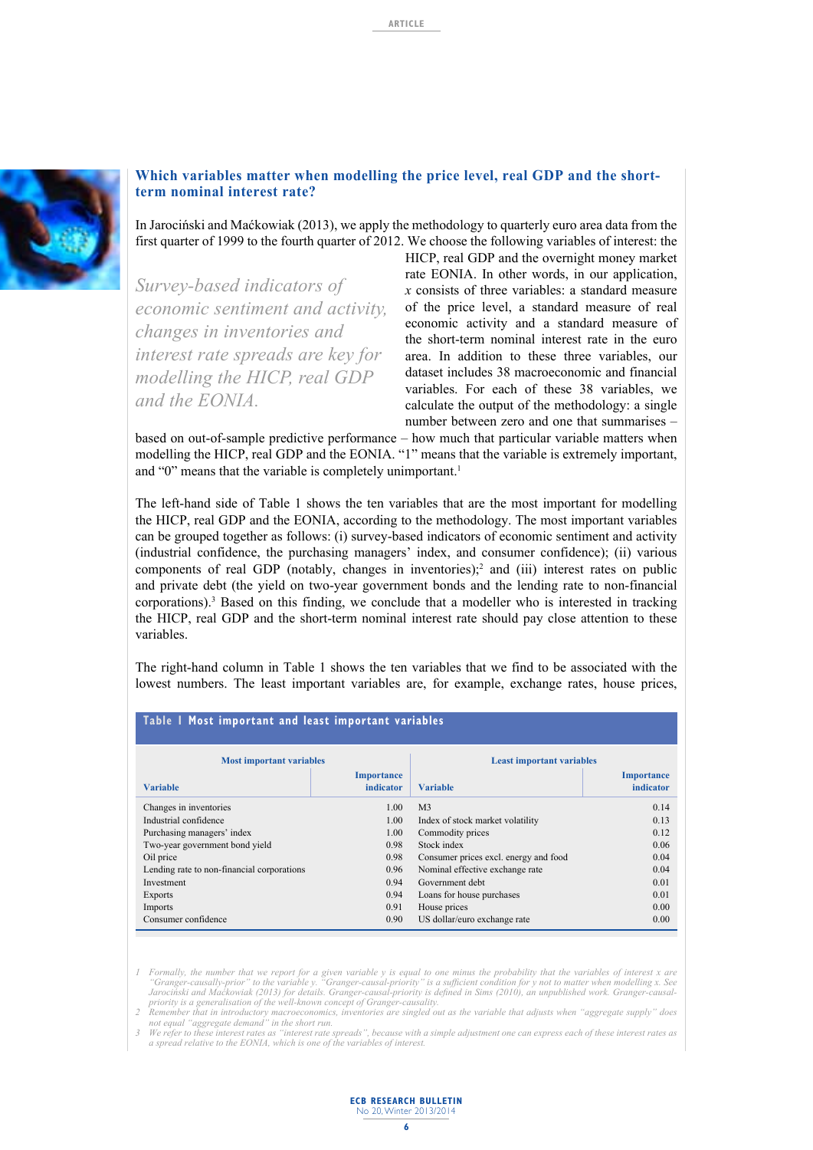

# **Which variables matter when modelling the price level, real GDP and the shortterm nominal interest rate?**

In Jarociński and Maćkowiak (2013), we apply the methodology to quarterly euro area data from the first quarter of 1999 to the fourth quarter of 2012. We choose the following variables of interest: the

*Survey-based indicators of economic sentiment and activity, changes in inventories and interest rate spreads are key for modelling the HICP, real GDP and the EONIA.*

HICP, real GDP and the overnight money market rate EONIA. In other words, in our application, *x* consists of three variables: a standard measure of the price level, a standard measure of real economic activity and a standard measure of the short-term nominal interest rate in the euro area. In addition to these three variables, our dataset includes 38 macroeconomic and financial variables. For each of these 38 variables, we calculate the output of the methodology: a single number between zero and one that summarises –

based on out-of-sample predictive performance – how much that particular variable matters when modelling the HICP, real GDP and the EONIA. "1" means that the variable is extremely important, and "0" means that the variable is completely unimportant.<sup>1</sup>

The left-hand side of Table 1 shows the ten variables that are the most important for modelling the HICP, real GDP and the EONIA, according to the methodology. The most important variables can be grouped together as follows: (i) survey-based indicators of economic sentiment and activity (industrial confidence, the purchasing managers' index, and consumer confidence); (ii) various components of real GDP (notably, changes in inventories);<sup>2</sup> and (iii) interest rates on public and private debt (the yield on two-year government bonds and the lending rate to non-financial corporations).3 Based on this finding, we conclude that a modeller who is interested in tracking the HICP, real GDP and the short-term nominal interest rate should pay close attention to these variables.

The right-hand column in Table 1 shows the ten variables that we find to be associated with the lowest numbers. The least important variables are, for example, exchange rates, house prices,

| Table I Most important and least important variables |                                |                                       |                                |  |  |  |  |  |
|------------------------------------------------------|--------------------------------|---------------------------------------|--------------------------------|--|--|--|--|--|
| <b>Most important variables</b>                      |                                | <b>Least important variables</b>      |                                |  |  |  |  |  |
| <b>Variable</b>                                      | <b>Importance</b><br>indicator | <b>Variable</b>                       | <b>Importance</b><br>indicator |  |  |  |  |  |
| Changes in inventories                               | 1.00                           | M <sub>3</sub>                        | 0.14                           |  |  |  |  |  |
| Industrial confidence                                | 1.00                           | Index of stock market volatility      | 0.13                           |  |  |  |  |  |
| Purchasing managers' index                           | 1.00                           | Commodity prices                      | 0.12                           |  |  |  |  |  |
| Two-year government bond yield                       | 0.98                           | Stock index                           | 0.06                           |  |  |  |  |  |
| Oil price                                            | 0.98                           | Consumer prices excl. energy and food | 0.04                           |  |  |  |  |  |
| Lending rate to non-financial corporations           | 0.96                           | Nominal effective exchange rate       | 0.04                           |  |  |  |  |  |
| Investment                                           | 0.94                           | Government debt                       | 0.01                           |  |  |  |  |  |
| Exports                                              | 0.94                           | Loans for house purchases             | 0.01                           |  |  |  |  |  |
| Imports                                              | 0.91                           | House prices                          | 0.00                           |  |  |  |  |  |
| Consumer confidence                                  | 0.90                           | US dollar/euro exchange rate          | 0.00                           |  |  |  |  |  |

*1 Formally, the number that we report for a given variable y is equal to one minus the probability that the variables of interest x are "Granger-causally-prior" to the variable y. "Granger-causal-priority" is a sufficient condition for y not to matter when modelling x. See Jarociński and Maćkowiak (2013) for details. Granger-causal-priority is defined in Sims (2010), an unpublished work. Granger-causal-*

*priority is a generalisation of the well-known concept of Granger-causality. 2 Remember that in introductory macroeconomics, inventories are singled out as the variable that adjusts when "aggregate supply" does not equal "aggregate demand" in the short run.*

3 We refer to these interest rates as "interest rate spreads", because with a simple adjustment one can express each of these interest rates as<br>a spread relative to the EONIA, which is one of the variables of interest.

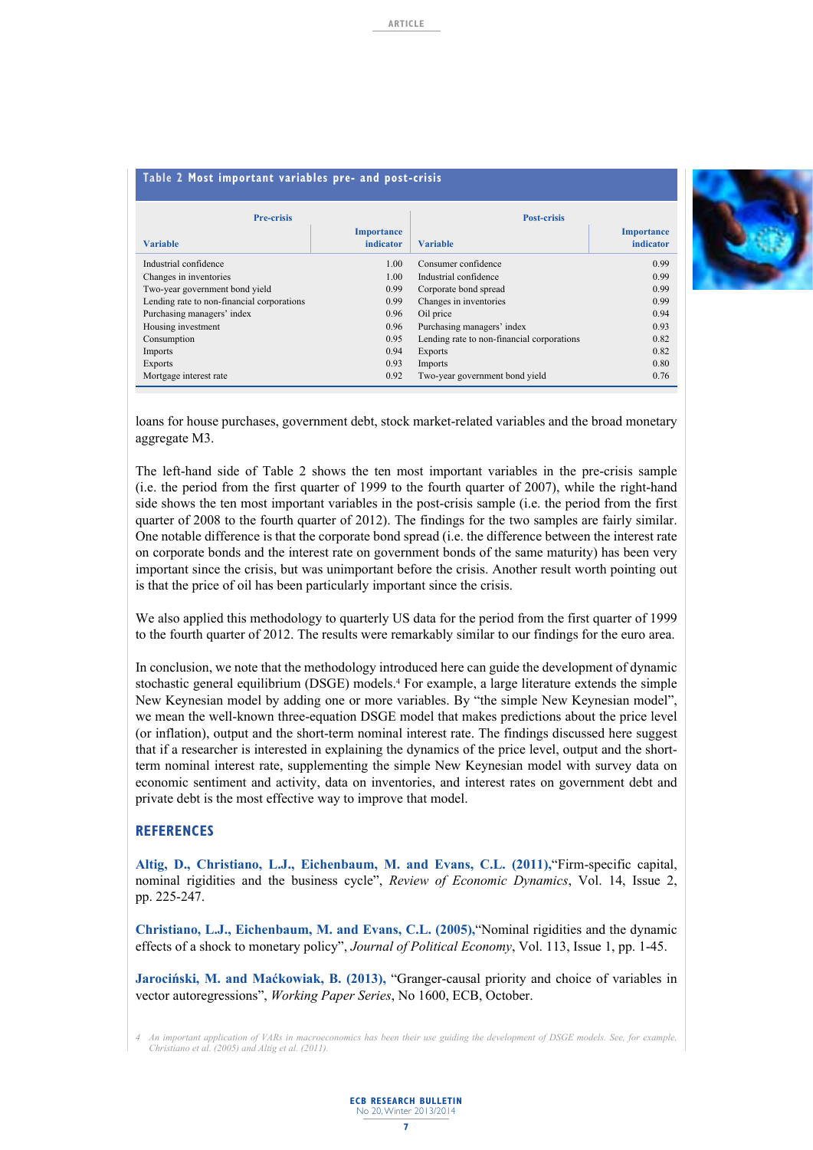| Table 2 Most important variables pre- and post-crisis |                                |                                            |                                |  |
|-------------------------------------------------------|--------------------------------|--------------------------------------------|--------------------------------|--|
| <b>Pre-crisis</b>                                     |                                | <b>Post-crisis</b>                         |                                |  |
| <b>Variable</b>                                       | <b>Importance</b><br>indicator | <b>Variable</b>                            | <b>Importance</b><br>indicator |  |
| Industrial confidence                                 | 1.00                           | Consumer confidence                        | 0.99                           |  |
| Changes in inventories                                | 1.00                           | Industrial confidence                      | 0.99                           |  |
| Two-year government bond yield                        | 0.99                           | Corporate bond spread                      | 0.99                           |  |
| Lending rate to non-financial corporations            | 0.99                           | Changes in inventories                     | 0.99                           |  |
| Purchasing managers' index                            | 0.96                           | Oil price                                  | 0.94                           |  |
| Housing investment                                    | 0.96                           | Purchasing managers' index                 | 0.93                           |  |
| Consumption                                           | 0.95                           | Lending rate to non-financial corporations | 0.82                           |  |
| Imports                                               | 0.94                           | Exports                                    | 0.82                           |  |
| Exports                                               | 0.93                           | Imports                                    | 0.80                           |  |

loans for house purchases, government debt, stock market-related variables and the broad monetary aggregate M3.

Mortgage interest rate 0.92 Two-year government bond yield 0.76

The left-hand side of Table 2 shows the ten most important variables in the pre-crisis sample (i.e. the period from the first quarter of 1999 to the fourth quarter of 2007), while the right-hand side shows the ten most important variables in the post-crisis sample (i.e. the period from the first quarter of 2008 to the fourth quarter of 2012). The findings for the two samples are fairly similar. One notable difference is that the corporate bond spread (i.e. the difference between the interest rate on corporate bonds and the interest rate on government bonds of the same maturity) has been very important since the crisis, but was unimportant before the crisis. Another result worth pointing out is that the price of oil has been particularly important since the crisis.

We also applied this methodology to quarterly US data for the period from the first quarter of 1999 to the fourth quarter of 2012. The results were remarkably similar to our findings for the euro area.

In conclusion, we note that the methodology introduced here can guide the development of dynamic stochastic general equilibrium (DSGE) models.<sup>4</sup> For example, a large literature extends the simple New Keynesian model by adding one or more variables. By "the simple New Keynesian model", we mean the well-known three-equation DSGE model that makes predictions about the price level (or inflation), output and the short-term nominal interest rate. The findings discussed here suggest that if a researcher is interested in explaining the dynamics of the price level, output and the shortterm nominal interest rate, supplementing the simple New Keynesian model with survey data on economic sentiment and activity, data on inventories, and interest rates on government debt and private debt is the most effective way to improve that model.

# **REFERENCES**

**Altig, D., Christiano, L.J., Eichenbaum, M. and Evans, C.L. (2011),**"Firm-specific capital, nominal rigidities and the business cycle", *Review of Economic Dynamics*, Vol. 14, Issue 2, pp. 225-247.

**Christiano, L.J., Eichenbaum, M. and Evans, C.L. (2005),**"Nominal rigidities and the dynamic effects of a shock to monetary policy", *Journal of Political Economy*, Vol. 113, Issue 1, pp. 1-45.

**Jarociński, M. and Maćkowiak, B. (2013),** "Granger-causal priority and choice of variables in vector autoregressions", *Working Paper Series*, No 1600, ECB, October.

*4 An important application of VARs in macroeconomics has been their use guiding the development of DSGE models. See, for example, Christiano et al. (2005) and Altig et al. (2011).*

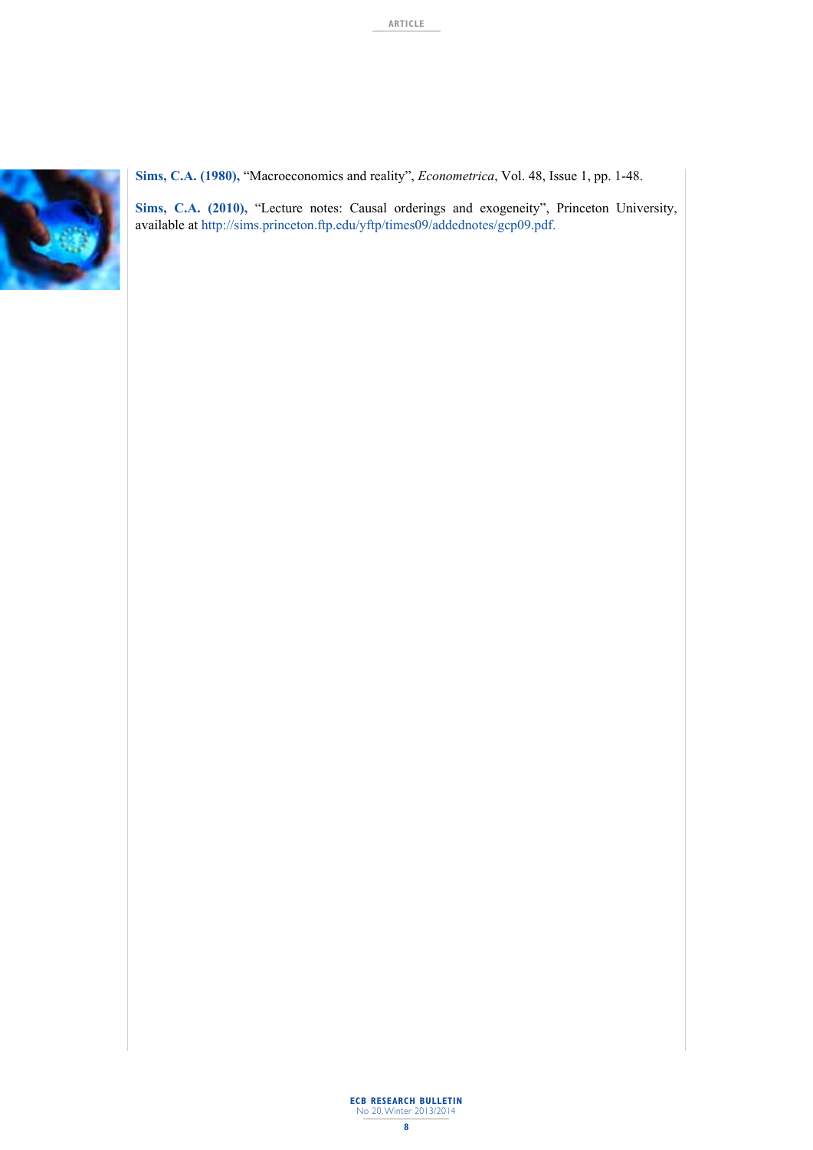

**Sims, C.A. (1980),** "Macroeconomics and reality", *Econometrica*, Vol. 48, Issue 1, pp. 1-48.

**Sims, C.A. (2010),** "Lecture notes: Causal orderings and exogeneity", Princeton University, available at http://sims.princeton.ftp.edu/yftp/times09/addednotes/gcp09.pdf.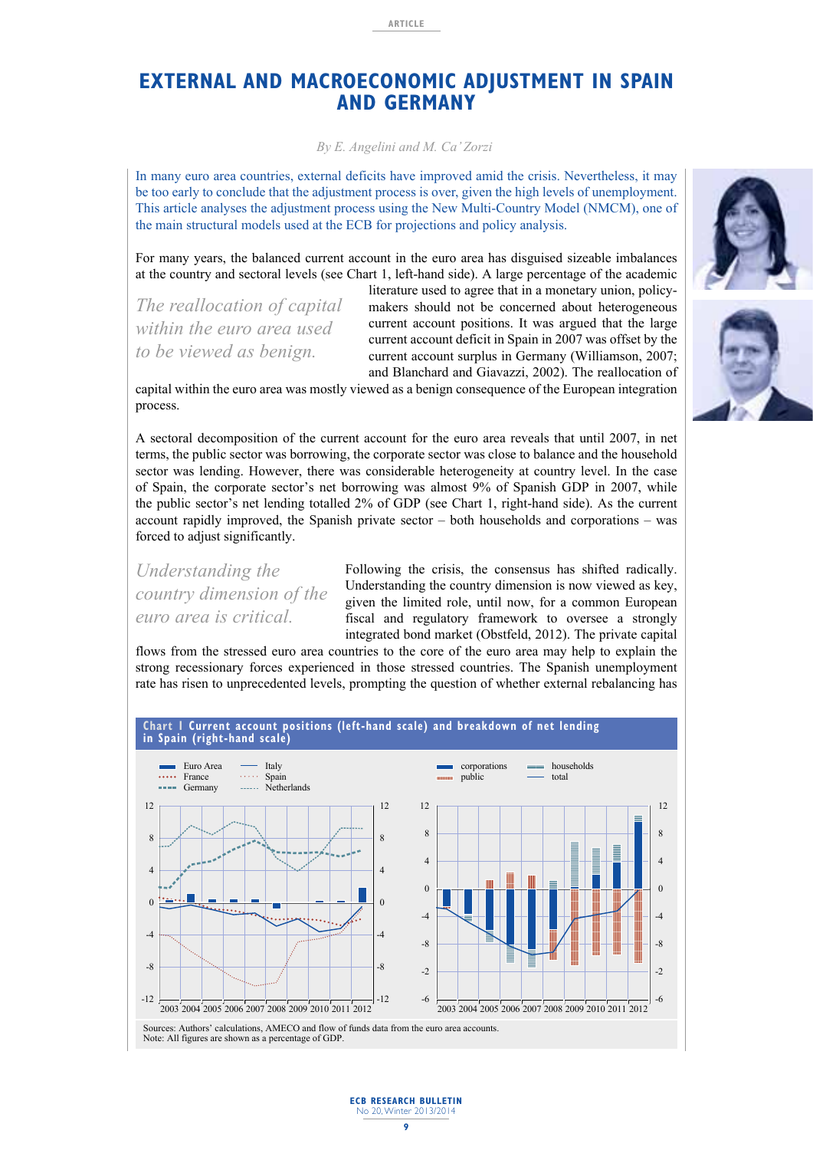# **External and MAcroeconomic Adjustment in SpaIn and GErmany**

*By E. Angelini and M. Ca' Zorzi* 

In many euro area countries, external deficits have improved amid the crisis. Nevertheless, it may be too early to conclude that the adjustment process is over, given the high levels of unemployment. This article analyses the adjustment process using the New Multi-Country Model (NMCM), one of the main structural models used at the ECB for projections and policy analysis.

For many years, the balanced current account in the euro area has disguised sizeable imbalances at the country and sectoral levels (see Chart 1, left-hand side). A large percentage of the academic

*The reallocation of capital within the euro area used to be viewed as benign.* 

literature used to agree that in a monetary union, policymakers should not be concerned about heterogeneous current account positions. It was argued that the large current account deficit in Spain in 2007 was offset by the current account surplus in Germany (Williamson, 2007; and Blanchard and Giavazzi, 2002). The reallocation of



capital within the euro area was mostly viewed as a benign consequence of the European integration process.

A sectoral decomposition of the current account for the euro area reveals that until 2007, in net terms, the public sector was borrowing, the corporate sector was close to balance and the household sector was lending. However, there was considerable heterogeneity at country level. In the case of Spain, the corporate sector's net borrowing was almost 9% of Spanish GDP in 2007, while the public sector's net lending totalled 2% of GDP (see Chart 1, right-hand side). As the current account rapidly improved, the Spanish private sector – both households and corporations – was forced to adjust significantly.

*Understanding the country dimension of the euro area is critical.*

Following the crisis, the consensus has shifted radically. Understanding the country dimension is now viewed as key, given the limited role, until now, for a common European fiscal and regulatory framework to oversee a strongly integrated bond market (Obstfeld, 2012). The private capital

flows from the stressed euro area countries to the core of the euro area may help to explain the strong recessionary forces experienced in those stressed countries. The Spanish unemployment rate has risen to unprecedented levels, prompting the question of whether external rebalancing has





### **ECB RESEARCH BULLETIN** lo 20, Winter 2013/20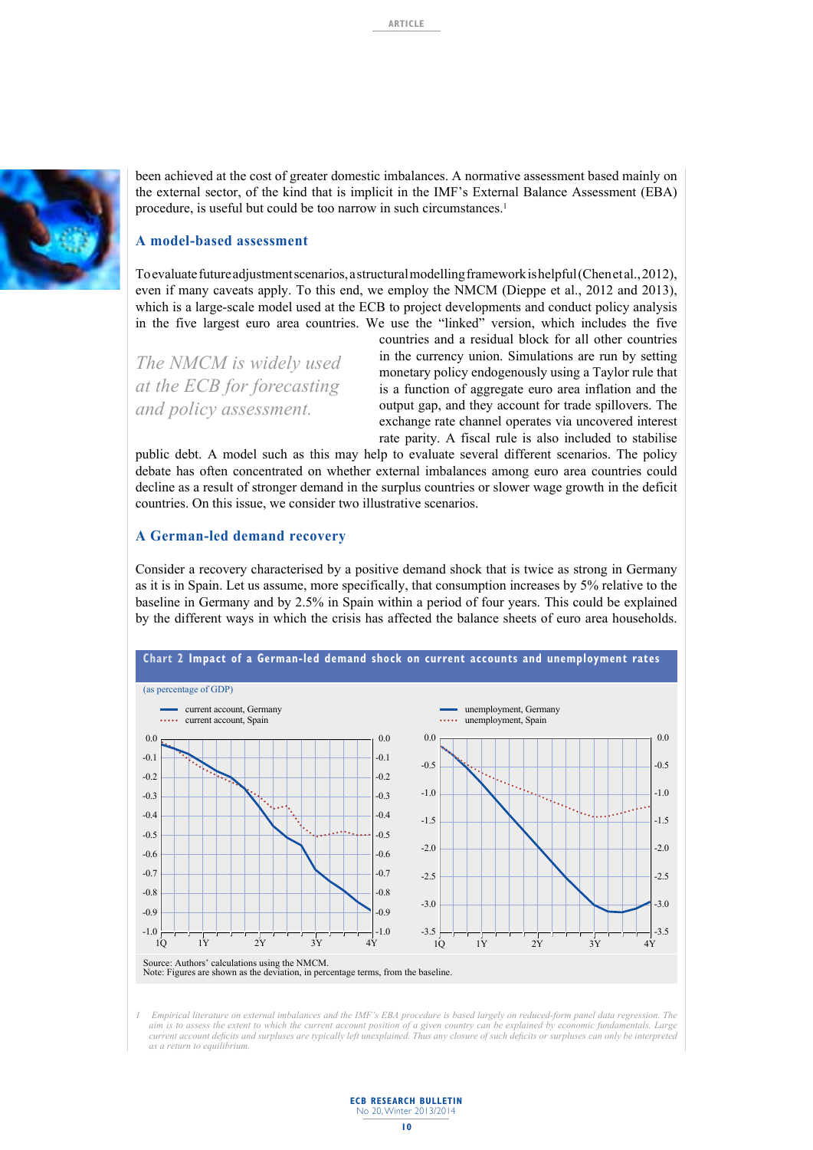

been achieved at the cost of greater domestic imbalances. A normative assessment based mainly on the external sector, of the kind that is implicit in the IMF's External Balance Assessment (EBA) procedure, is useful but could be too narrow in such circumstances.<sup>1</sup>

# **A model-based assessment**

To evaluate future adjustment scenarios, a structural modelling framework is helpful (Chen et al., 2012), even if many caveats apply. To this end, we employ the NMCM (Dieppe et al., 2012 and 2013), which is a large-scale model used at the ECB to project developments and conduct policy analysis in the five largest euro area countries. We use the "linked" version, which includes the five

*The NMCM is widely used at the ECB for forecasting and policy assessment.*

countries and a residual block for all other countries in the currency union. Simulations are run by setting monetary policy endogenously using a Taylor rule that is a function of aggregate euro area inflation and the output gap, and they account for trade spillovers. The exchange rate channel operates via uncovered interest rate parity. A fiscal rule is also included to stabilise

public debt. A model such as this may help to evaluate several different scenarios. The policy debate has often concentrated on whether external imbalances among euro area countries could decline as a result of stronger demand in the surplus countries or slower wage growth in the deficit countries. On this issue, we consider two illustrative scenarios.

## **A German-led demand recovery**

Consider a recovery characterised by a positive demand shock that is twice as strong in Germany as it is in Spain. Let us assume, more specifically, that consumption increases by 5% relative to the baseline in Germany and by 2.5% in Spain within a period of four years. This could be explained by the different ways in which the crisis has affected the balance sheets of euro area households.



*1 Empirical literature on external imbalances and the IMF's EBA procedure is based largely on reduced-form panel data regression. The*  aim is to assess the extent to which the current account position of a given country can be explained by economic fundamentals. Large<br>current account deficits and surpluses are typically left unexplained. Thus any closure *as a return to equilibrium.* 

#### **ECB RESEARCH BULLETIN** lo 20, Winter 2013/20 **10**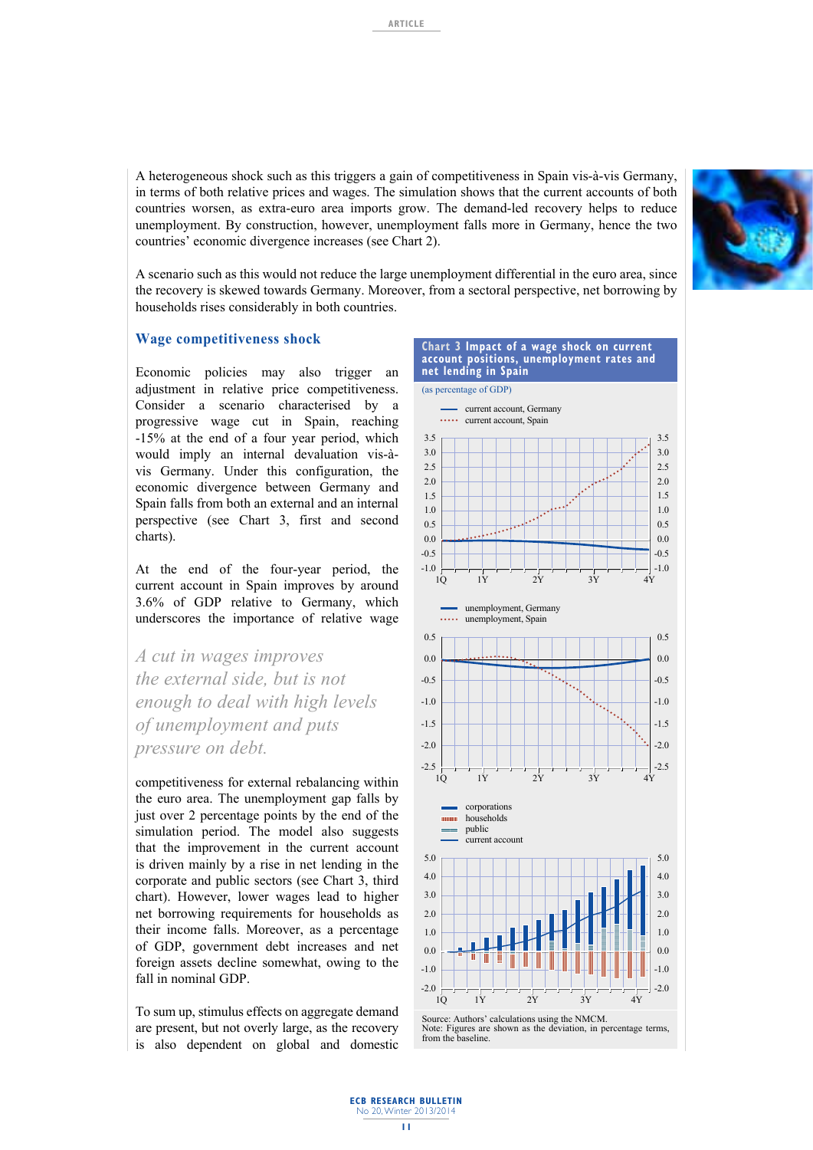A heterogeneous shock such as this triggers a gain of competitiveness in Spain vis-à-vis Germany, in terms of both relative prices and wages. The simulation shows that the current accounts of both countries worsen, as extra-euro area imports grow. The demand-led recovery helps to reduce unemployment. By construction, however, unemployment falls more in Germany, hence the two countries' economic divergence increases (see Chart 2).



A scenario such as this would not reduce the large unemployment differential in the euro area, since the recovery is skewed towards Germany. Moreover, from a sectoral perspective, net borrowing by households rises considerably in both countries.

# **Wage competitiveness shock**

Economic policies may also trigger an adjustment in relative price competitiveness. Consider a scenario characterised by a progressive wage cut in Spain, reaching -15% at the end of a four year period, which would imply an internal devaluation vis-àvis Germany. Under this configuration, the economic divergence between Germany and Spain falls from both an external and an internal perspective (see Chart 3, first and second charts).

At the end of the four-year period, the current account in Spain improves by around 3.6% of GDP relative to Germany, which underscores the importance of relative wage

*A cut in wages improves the external side, but is not enough to deal with high levels of unemployment and puts pressure on debt.* 

competitiveness for external rebalancing within the euro area. The unemployment gap falls by just over 2 percentage points by the end of the simulation period. The model also suggests that the improvement in the current account is driven mainly by a rise in net lending in the corporate and public sectors (see Chart 3, third chart). However, lower wages lead to higher net borrowing requirements for households as their income falls. Moreover, as a percentage of GDP, government debt increases and net foreign assets decline somewhat, owing to the fall in nominal GDP.

To sum up, stimulus effects on aggregate demand are present, but not overly large, as the recovery is also dependent on global and domestic





Note: Figures are shown as the deviation, in percentage terms, from the baseline.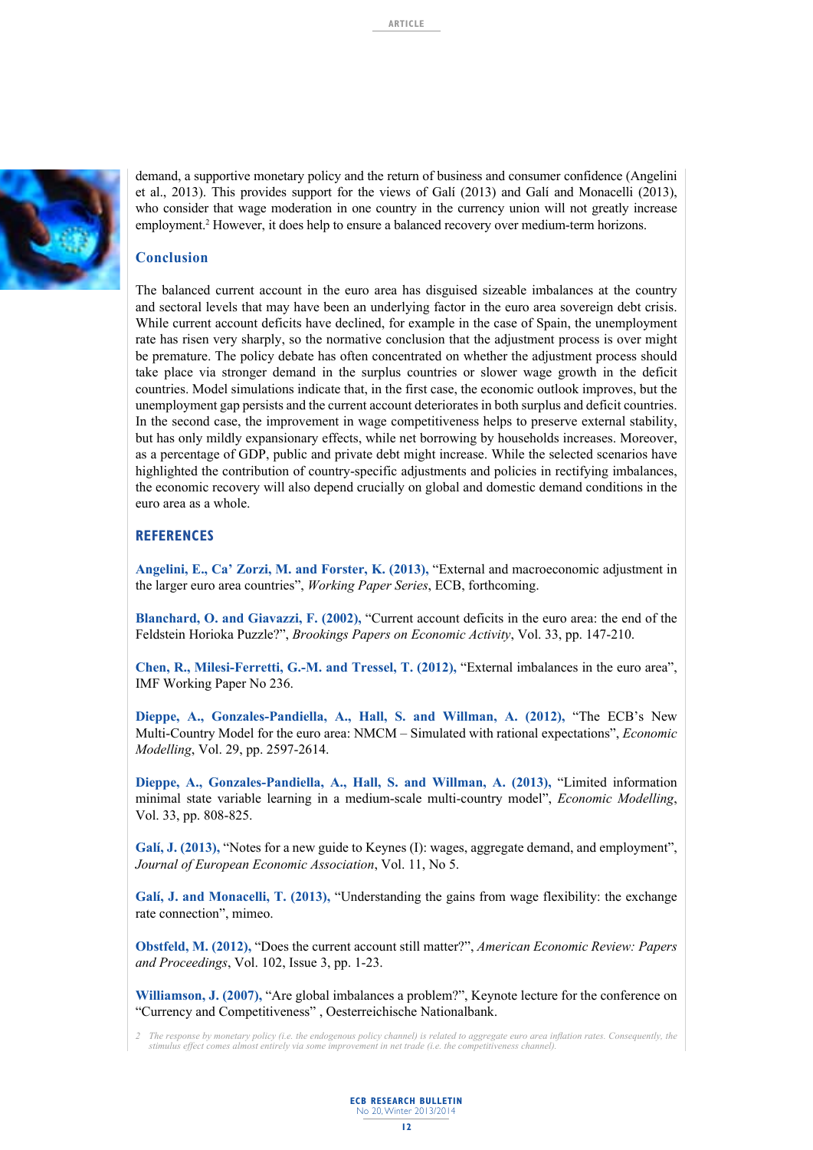

demand, a supportive monetary policy and the return of business and consumer confidence (Angelini et al., 2013). This provides support for the views of Galí (2013) and Galí and Monacelli (2013), who consider that wage moderation in one country in the currency union will not greatly increase employment.<sup>2</sup> However, it does help to ensure a balanced recovery over medium-term horizons.

# **Conclusion**

The balanced current account in the euro area has disguised sizeable imbalances at the country and sectoral levels that may have been an underlying factor in the euro area sovereign debt crisis. While current account deficits have declined, for example in the case of Spain, the unemployment rate has risen very sharply, so the normative conclusion that the adjustment process is over might be premature. The policy debate has often concentrated on whether the adjustment process should take place via stronger demand in the surplus countries or slower wage growth in the deficit countries. Model simulations indicate that, in the first case, the economic outlook improves, but the unemployment gap persists and the current account deteriorates in both surplus and deficit countries. In the second case, the improvement in wage competitiveness helps to preserve external stability, but has only mildly expansionary effects, while net borrowing by households increases. Moreover, as a percentage of GDP, public and private debt might increase. While the selected scenarios have highlighted the contribution of country-specific adjustments and policies in rectifying imbalances, the economic recovery will also depend crucially on global and domestic demand conditions in the euro area as a whole.

# **References**

**Angelini, E., Ca' Zorzi, M. and Forster, K. (2013),** "External and macroeconomic adjustment in the larger euro area countries", *Working Paper Series*, ECB, forthcoming.

**Blanchard, O. and Giavazzi, F. (2002),** "Current account deficits in the euro area: the end of the Feldstein Horioka Puzzle?", *Brookings Papers on Economic Activity*, Vol. 33, pp. 147-210.

**Chen, R., Milesi-Ferretti, G.-M. and Tressel, T. (2012),** "External imbalances in the euro area", IMF Working Paper No 236.

**Dieppe, A., Gonzales-Pandiella, A., Hall, S. and Willman, A. (2012),** "The ECB's New Multi-Country Model for the euro area: NMCM – Simulated with rational expectations", *Economic Modelling*, Vol. 29, pp. 2597-2614.

**Dieppe, A., Gonzales-Pandiella, A., Hall, S. and Willman, A. (2013),** "Limited information minimal state variable learning in a medium-scale multi-country model", *Economic Modelling*, Vol. 33, pp. 808-825.

**Galí, J. (2013),** "Notes for a new guide to Keynes (I): wages, aggregate demand, and employment", *Journal of European Economic Association*, Vol. 11, No 5.

**Galí, J. and Monacelli, T. (2013),** "Understanding the gains from wage flexibility: the exchange rate connection", mimeo.

**Obstfeld, M. (2012),** "Does the current account still matter?", *American Economic Review: Papers and Proceedings*, Vol. 102, Issue 3, pp. 1-23.

**Williamson, J. (2007),** "Are global imbalances a problem?", Keynote lecture for the conference on "Currency and Competitiveness" , Oesterreichische Nationalbank.

<sup>2</sup> The response by monetary policy (i.e. the endogenous policy channel) is related to aggregate euro area inflation rates. Consequently, the stimulus effect comes almost entirely via some improvement in net trade (i.e. the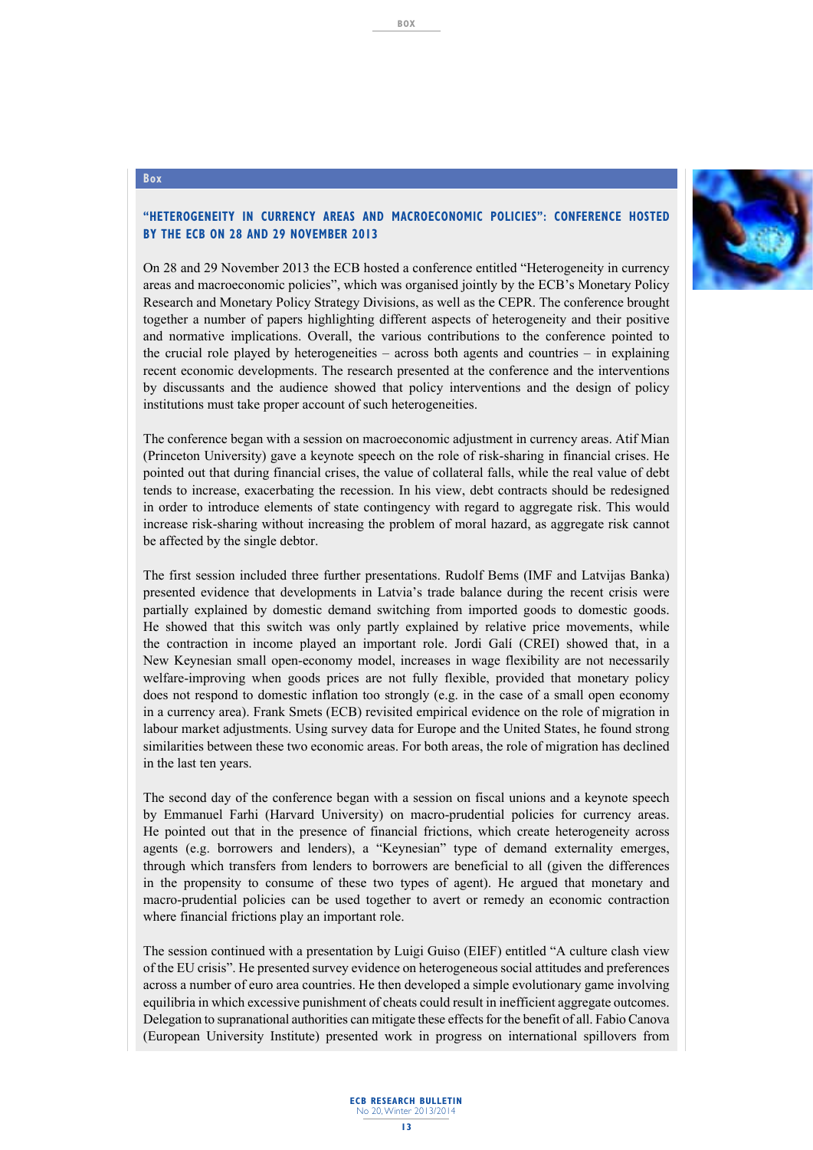

# **"Heterogeneity in currency areas and macroeconomic policies": Conference hosted by the ECB on 28 and 29 November 2013**

**Box**

On 28 and 29 November 2013 the ECB hosted a conference entitled "Heterogeneity in currency areas and macroeconomic policies", which was organised jointly by the ECB's Monetary Policy Research and Monetary Policy Strategy Divisions, as well as the CEPR. The conference brought together a number of papers highlighting different aspects of heterogeneity and their positive and normative implications. Overall, the various contributions to the conference pointed to the crucial role played by heterogeneities – across both agents and countries – in explaining recent economic developments. The research presented at the conference and the interventions by discussants and the audience showed that policy interventions and the design of policy institutions must take proper account of such heterogeneities.

The conference began with a session on macroeconomic adjustment in currency areas. Atif Mian (Princeton University) gave a keynote speech on the role of risk-sharing in financial crises. He pointed out that during financial crises, the value of collateral falls, while the real value of debt tends to increase, exacerbating the recession. In his view, debt contracts should be redesigned in order to introduce elements of state contingency with regard to aggregate risk. This would increase risk-sharing without increasing the problem of moral hazard, as aggregate risk cannot be affected by the single debtor.

The first session included three further presentations. Rudolf Bems (IMF and Latvijas Banka) presented evidence that developments in Latvia's trade balance during the recent crisis were partially explained by domestic demand switching from imported goods to domestic goods. He showed that this switch was only partly explained by relative price movements, while the contraction in income played an important role. Jordi Galí (CREI) showed that, in a New Keynesian small open-economy model, increases in wage flexibility are not necessarily welfare-improving when goods prices are not fully flexible, provided that monetary policy does not respond to domestic inflation too strongly (e.g. in the case of a small open economy in a currency area). Frank Smets (ECB) revisited empirical evidence on the role of migration in labour market adjustments. Using survey data for Europe and the United States, he found strong similarities between these two economic areas. For both areas, the role of migration has declined in the last ten years.

The second day of the conference began with a session on fiscal unions and a keynote speech by Emmanuel Farhi (Harvard University) on macro-prudential policies for currency areas. He pointed out that in the presence of financial frictions, which create heterogeneity across agents (e.g. borrowers and lenders), a "Keynesian" type of demand externality emerges, through which transfers from lenders to borrowers are beneficial to all (given the differences in the propensity to consume of these two types of agent). He argued that monetary and macro-prudential policies can be used together to avert or remedy an economic contraction where financial frictions play an important role.

The session continued with a presentation by Luigi Guiso (EIEF) entitled "A culture clash view of the EU crisis". He presented survey evidence on heterogeneous social attitudes and preferences across a number of euro area countries. He then developed a simple evolutionary game involving equilibria in which excessive punishment of cheats could result in inefficient aggregate outcomes. Delegation to supranational authorities can mitigate these effects for the benefit of all. Fabio Canova (European University Institute) presented work in progress on international spillovers from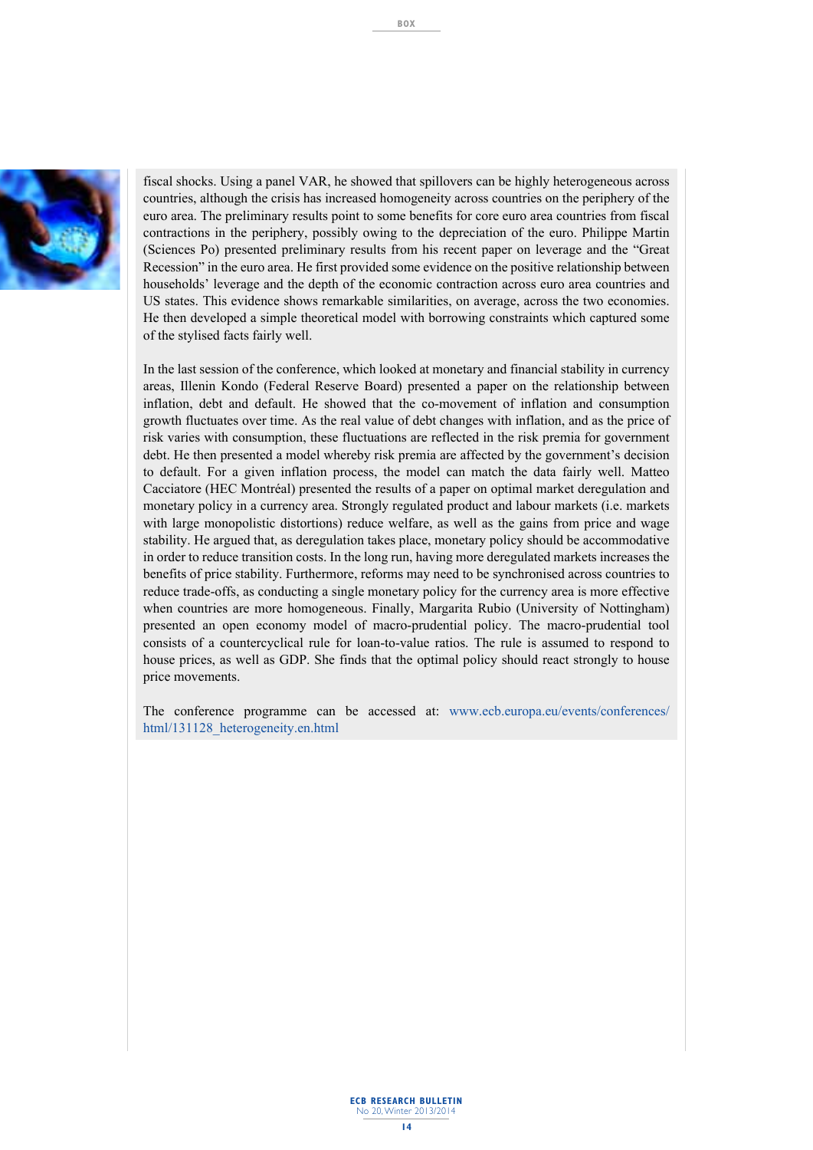

fiscal shocks. Using a panel VAR, he showed that spillovers can be highly heterogeneous across countries, although the crisis has increased homogeneity across countries on the periphery of the euro area. The preliminary results point to some benefits for core euro area countries from fiscal contractions in the periphery, possibly owing to the depreciation of the euro. Philippe Martin (Sciences Po) presented preliminary results from his recent paper on leverage and the "Great Recession" in the euro area. He first provided some evidence on the positive relationship between households' leverage and the depth of the economic contraction across euro area countries and US states. This evidence shows remarkable similarities, on average, across the two economies. He then developed a simple theoretical model with borrowing constraints which captured some of the stylised facts fairly well.

In the last session of the conference, which looked at monetary and financial stability in currency areas, Illenin Kondo (Federal Reserve Board) presented a paper on the relationship between inflation, debt and default. He showed that the co-movement of inflation and consumption growth fluctuates over time. As the real value of debt changes with inflation, and as the price of risk varies with consumption, these fluctuations are reflected in the risk premia for government debt. He then presented a model whereby risk premia are affected by the government's decision to default. For a given inflation process, the model can match the data fairly well. Matteo Cacciatore (HEC Montréal) presented the results of a paper on optimal market deregulation and monetary policy in a currency area. Strongly regulated product and labour markets (i.e. markets with large monopolistic distortions) reduce welfare, as well as the gains from price and wage stability. He argued that, as deregulation takes place, monetary policy should be accommodative in order to reduce transition costs. In the long run, having more deregulated markets increases the benefits of price stability. Furthermore, reforms may need to be synchronised across countries to reduce trade-offs, as conducting a single monetary policy for the currency area is more effective when countries are more homogeneous. Finally, Margarita Rubio (University of Nottingham) presented an open economy model of macro-prudential policy. The macro-prudential tool consists of a countercyclical rule for loan-to-value ratios. The rule is assumed to respond to house prices, as well as GDP. She finds that the optimal policy should react strongly to house price movements.

The conference programme can be accessed at: www.ecb.europa.eu/events/conferences/ html/131128\_heterogeneity.en.html